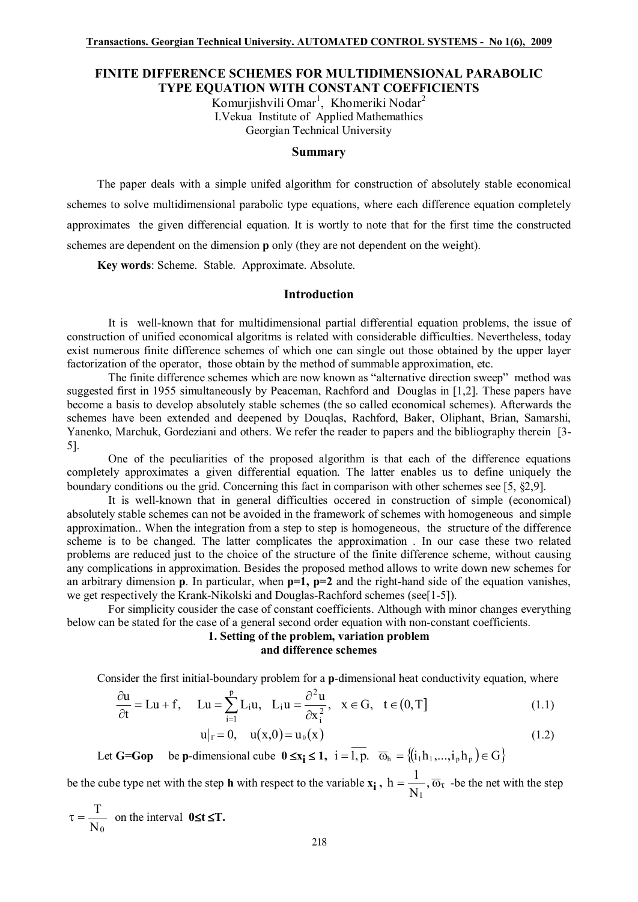## **FINITE DIFFERENCE SCHEMES FOR MULTIDIMENSIONAL PARABOLIC TYPE EQUATION WITH CONSTANT COEFFICIENTS**

Komurjishvili Omar<sup>1</sup>, Khomeriki Nodar<sup>2</sup> I.Vekua Institute of Applied Mathemathics Georgian Technical University

## **Summary**

The paper deals with a simple unifed algorithm for construction of absolutely stable economical schemes to solve multidimensional parabolic type equations, where each difference equation completely approximates the given differencial equation. It is wortly to note that for the first time the constructed schemes are dependent on the dimension **p** only (they are not dependent on the weight).

**Key words**: Scheme. Stable. Approximate. Absolute.

## **Introduction**

It is well-known that for multidimensional partial differential equation problems, the issue of construction of unified economical algoritms is related with considerable difficulties. Nevertheless, today exist numerous finite difference schemes of which one can single out those obtained by the upper layer factorization of the operator, those obtain by the method of summable approximation, etc.

The finite difference schemes which are now known as "alternative direction sweep" method was suggested first in 1955 simultaneously by Peaceman, Rachford and Douglas in [1,2]. These papers have become a basis to develop absolutely stable schemes (the so called economical schemes). Afterwards the schemes have been extended and deepened by Douqlas, Rachford, Baker, Oliphant, Brian, Samarshi, Yanenko, Marchuk, Gordeziani and others. We refer the reader to papers and the bibliography therein [3- 5].

One of the peculiarities of the proposed algorithm is that each of the difference equations completely approximates a given differential equation. The latter enables us to define uniquely the boundary conditions ou the grid. Concerning this fact in comparison with other schemes see [5, \$2,9].

It is well-known that in general difficulties occered in construction of simple (economical) absolutely stable schemes can not be avoided in the framework of schemes with homogeneous and simple approximation.. When the integration from a step to step is homogeneous, the structure of the difference scheme is to be changed. The latter complicates the approximation . In our case these two related problems are reduced just to the choice of the structure of the finite difference scheme, without causing any complications in approximation. Besides the proposed method allows to write down new schemes for an arbitrary dimension **p**. In particular, when **p=1, p=2** and the right-hand side of the equation vanishes, we get respectively the Krank-Nikolski and Douglas-Rachford schemes (see[1-5]).

For simplicity cousider the case of constant coefficients. Although with minor changes everything below can be stated for the case of a general second order equation with non-constant coefficients.

## **1. Setting of the problem, variation problem and difference schemes**

Consider the first initial-boundary problem for a **p**-dimensional heat conductivity equation, where

$$
\frac{\partial u}{\partial t} = Lu + f, \quad Lu = \sum_{i=1}^{p} L_i u, \quad L_i u = \frac{\partial^2 u}{\partial x_i^2}, \quad x \in G, \quad t \in (0, T]
$$
\n(1.1)

$$
u|_{\Gamma} = 0, \quad u(x,0) = u_0(x) \tag{1.2}
$$

Let **G=Gop** be **p**-dimensional cube  $0 \le x_i \le 1$ ,  $i = \overline{1, p}$ .  $\overline{\omega}_h = \{(i_1h_1, ..., i_ph_p) \in G\}$ 

be the cube type net with the step **h** with respect to the variable  $\mathbf{x_i}$ ,  $\mathbf{h} = \frac{1}{N}$ ,  $\overline{\omega}_\tau$ N  $h = \frac{1}{\sqrt{2}}$ 1 -be the net with the step

 $\mathrm{N}_0$  $\tau = \frac{T}{T}$  on the interval **0≤t ≤T.**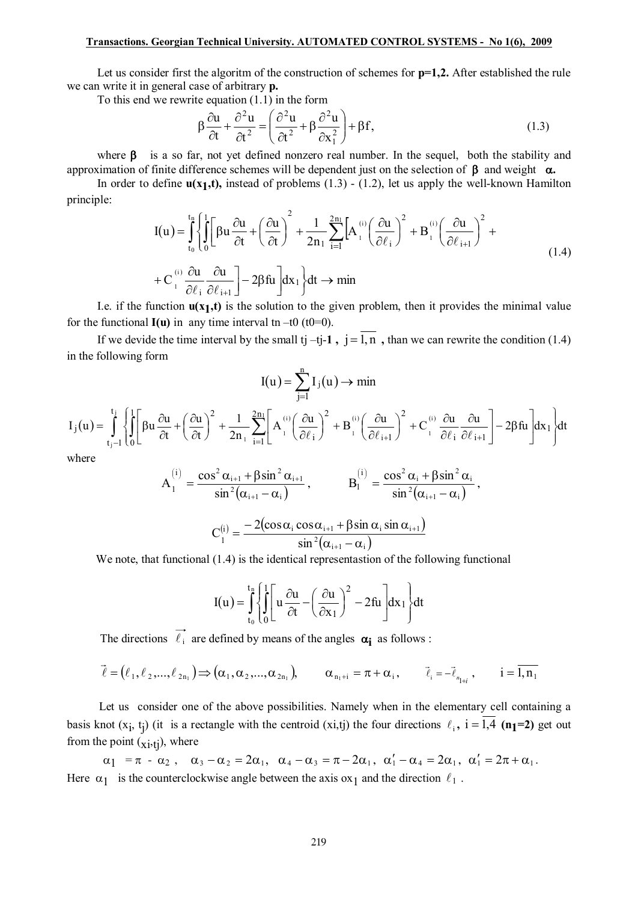Let us consider first the algoritm of the construction of schemes for  $p=1,2$ . After established the rule we can write it in general case of arbitrary **p**.

To this end we rewrite equation  $(1.1)$  in the form

$$
\beta \frac{\partial u}{\partial t} + \frac{\partial^2 u}{\partial t^2} = \left(\frac{\partial^2 u}{\partial t^2} + \beta \frac{\partial^2 u}{\partial x_1^2}\right) + \beta f,
$$
\n(1.3)

where  $\beta$  is a so far, not yet defined nonzero real number. In the sequel, both the stability and approximation of finite difference schemes will be dependent just on the selection of  $\beta$  and weight  $\alpha$ .

In order to define  $u(x_1,t)$ , instead of problems (1.3) - (1.2), let us apply the well-known Hamilton principle:

$$
I(u) = \int_{t_0}^{t_0} \left\{ \int_0^1 \left[ \beta u \frac{\partial u}{\partial t} + \left( \frac{\partial u}{\partial t} \right)^2 + \frac{1}{2n_1} \sum_{i=1}^{2n_1} \left[ A_i^{(i)} \left( \frac{\partial u}{\partial \ell_i} \right)^2 + B_i^{(i)} \left( \frac{\partial u}{\partial \ell_{i+1}} \right)^2 + \right. \right. \\ \left. + C_i^{(i)} \frac{\partial u}{\partial \ell_i} \frac{\partial u}{\partial \ell_{i+1}} \right] - 2\beta \text{fu} \right\} \text{d}x_1 \, dt \to \text{min}
$$
\n(1.4)

I.e. if the function  $u(x_1,t)$  is the solution to the given problem, then it provides the minimal value for the functional  $I(u)$  in any time interval tn -t0 (t0=0).

If we devide the time interval by the small tj -tj-1,  $j = 1, n$ , than we can rewrite the condition (1.4) in the following form

$$
I(u) = \sum_{j=1}^{n} I_j(u) \to \min
$$

$$
I_j(u) = \int_{t_j-1}^{t_j} \left\{ \int_0^1 \left[ \beta u \frac{\partial u}{\partial t} + \left( \frac{\partial u}{\partial t} \right)^2 + \frac{1}{2n_1} \sum_{i=1}^{2n_1} \left[ A_i^{(i)} \left( \frac{\partial u}{\partial \ell_i} \right)^2 + B_i^{(i)} \left( \frac{\partial u}{\partial \ell_{i+1}} \right)^2 + C_i^{(i)} \frac{\partial u}{\partial \ell_i} \frac{\partial u}{\partial \ell_{i+1}} \right] - 2 \beta f u \right] dx_1 \right\} dt
$$

where

$$
A_1^{(i)} = \frac{\cos^2 \alpha_{i+1} + \beta \sin^2 \alpha_{i+1}}{\sin^2(\alpha_{i+1} - \alpha_i)}, \qquad B_1^{(i)} = \frac{\cos^2 \alpha_i + \beta \sin^2 \alpha_i}{\sin^2(\alpha_{i+1} - \alpha_i)},
$$

$$
C_1^{(i)} = \frac{-2(\cos\alpha_i\cos\alpha_{i+1} + \beta\sin\alpha_i\sin\alpha_{i+1})}{\sin^2(\alpha_{i+1} - \alpha_i)}
$$

We note, that functional  $(1.4)$  is the identical representation of the following functional

$$
I(u) = \int_{t_0}^{t_0} \left\{ \int_0^1 \left[ u \frac{\partial u}{\partial t} - \left( \frac{\partial u}{\partial x_1} \right)^2 - 2fu \right] dx_1 \right\} dt
$$

The directions  $\overrightarrow{\ell_i}$  are defined by means of the angles  $\alpha_i$  as follows :

$$
\vec{\ell} = (\ell_1, \ell_2, \ldots, \ell_{2n_1}) \Longrightarrow (\alpha_1, \alpha_2, \ldots, \alpha_{2n_1}), \qquad \alpha_{n_1+i} = \pi + \alpha_i, \qquad \vec{\ell}_i = -\vec{\ell}_{n_{1+i}}, \qquad i = \overline{1, n_1}
$$

Let us consider one of the above possibilities. Namely when in the elementary cell containing a basis knot  $(x_i, t_j)$  (it is a rectangle with the centroid  $(x_i,t_j)$  the four directions  $\ell_i$ ,  $i = \overline{1,4}$  (n<sub>1</sub>=2) get out from the point  $({\bf x}_i, {\bf t}_i)$ , where

 $\alpha_1 = \pi - \alpha_2$ ,  $\alpha_3 - \alpha_2 = 2\alpha_1$ ,  $\alpha_4 - \alpha_3 = \pi - 2\alpha_1$ ,  $\alpha'_1 - \alpha_4 = 2\alpha_1$ ,  $\alpha'_1 = 2\pi + \alpha_1$ . Here  $\alpha_1$  is the counterclockwise angle between the axis ox<sub>1</sub> and the direction  $\ell_1$ .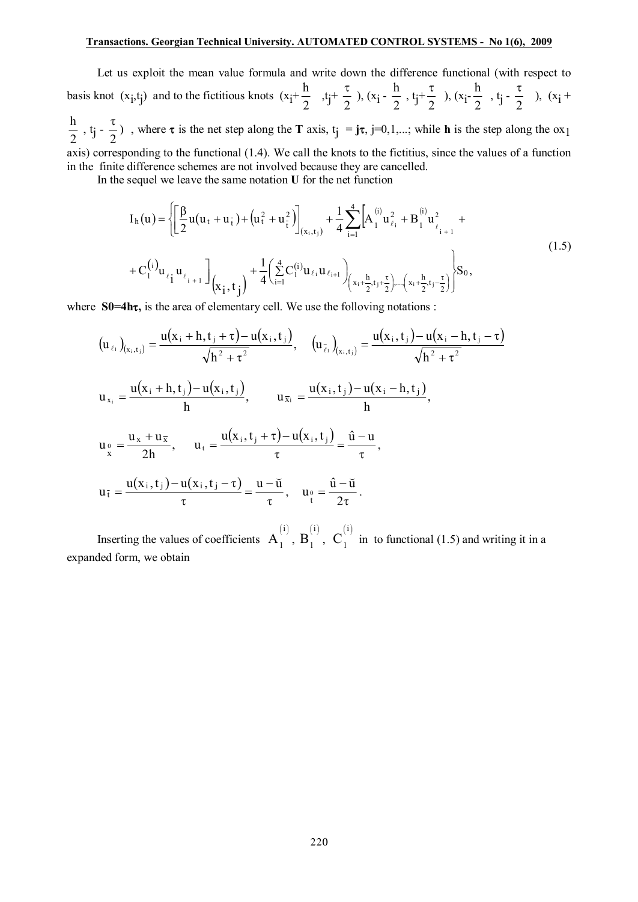Let us exploit the mean value formula and write down the difference functional (with respect to basis knot  $(x_i, t_j)$  and to the fictitious knots  $(x_i+$ 2 h  $,tj^+$ 2 t  $), (x_i -$ 2 h ,  $t_j$ + 2 t  $), (x_i -$ 2 h  $, t<sub>j</sub>$  -2 t ),  $(x_i +$ 2 h , t<sub>j</sub> -  $\frac{1}{2}$ t ), where  $\tau$  is the net step along the **T** axis,  $t_j = j\tau$ ,  $j=0,1,...$ ; while **h** is the step along the ox<sub>1</sub> axis) corresponding to the functional (1.4). We call the knots to the fictitius, since the values of a function in the finite difference schemes are not involved because they are cancelled.

In the sequel we leave the same notation **U** for the net function

$$
I_{h}(u) = \left\{ \left[ \frac{\beta}{2} u(u_{t} + u_{\tau}) + (u_{t}^{2} + u_{\tau}^{2}) \right]_{(x_{i},t_{j})} + \frac{1}{4} \sum_{i=1}^{4} \left[ A_{1}^{(i)} u_{\ell_{i}}^{2} + B_{1}^{(i)} u_{\ell_{i+1}}^{2} + \right. \right.+ C_{1}^{(i)} u_{\ell_{i}} u_{\ell_{i+1}} \left]_{(x_{i},t_{j})} + \frac{1}{4} \left( \sum_{i=1}^{4} C_{1}^{(i)} u_{\ell_{i}} u_{\ell_{i+1}} \right)_{(x_{i} + \frac{h}{2},t_{j} + \frac{\tau}{2})} \right. \left. \left. \right| S_{0}, \right\}
$$
\n(1.5)

where **S0=4ht**, is the area of elementary cell. We use the folloving notations :

$$
(u_{\ell_{1}})_{(x_{i},t_{j})} = \frac{u(x_{i} + h,t_{j} + \tau) - u(x_{i},t_{j})}{\sqrt{h^{2} + \tau^{2}}}, \quad (u_{\bar{\ell}_{1}})_{(x_{i},t_{j})} = \frac{u(x_{i},t_{j}) - u(x_{i} - h,t_{j} - \tau)}{\sqrt{h^{2} + \tau^{2}}}
$$
\n
$$
u_{x_{i}} = \frac{u(x_{i} + h,t_{j}) - u(x_{i},t_{j})}{h}, \qquad u_{\bar{x}_{i}} = \frac{u(x_{i},t_{j}) - u(x_{i} - h,t_{j})}{h},
$$
\n
$$
u_{\frac{0}{x}} = \frac{u_{x} + u_{\bar{x}}}{2h}, \qquad u_{t} = \frac{u(x_{i},t_{j} + \tau) - u(x_{i},t_{j})}{\tau} = \frac{\hat{u} - u}{\tau},
$$
\n
$$
u_{\bar{t}} = \frac{u(x_{i},t_{j}) - u(x_{i},t_{j} - \tau)}{\tau} = \frac{u - \breve{u}}{\tau}, \qquad u_{\frac{0}{t}} = \frac{\hat{u} - \breve{u}}{2\tau}.
$$

Inserting the values of coefficients  $A_1^{(i)}$ ,  $B_1^{(i)}$  $\overline{\mathsf{B}}_1^{(\text{i})}, \; \overline{\mathsf{C}}_1^{(\text{i})}$  $C_1^{\prime\prime}$  in to functional (1.5) and writing it in a expanded form, we obtain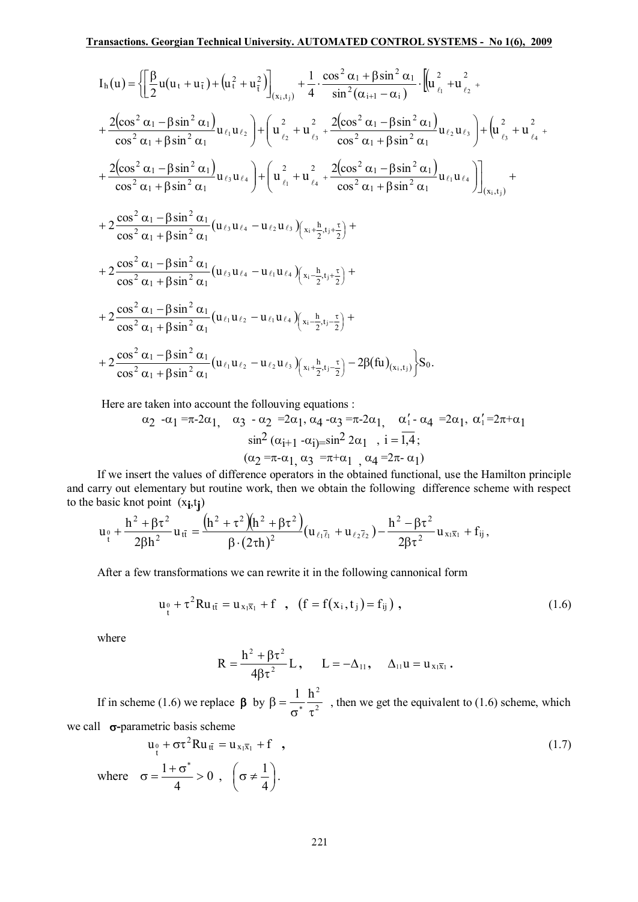$$
I_{h}(u) = \left\{ \left[ \frac{\beta}{2} u(u_{t} + u_{\tilde{t}}) + (u_{t}^{2} + u_{\tilde{t}}^{2}) \right]_{(x_{i},t_{j})} + \frac{1}{4} \cdot \frac{\cos^{2} \alpha_{1} + \beta \sin^{2} \alpha_{1}}{\sin^{2}(\alpha_{i+1} - \alpha_{i})} \cdot \left[ u_{\ell_{i}}^{2} + u_{\ell_{2}}^{2} + \frac{2(\cos^{2} \alpha_{1} - \beta \sin^{2} \alpha_{1})}{\cos^{2} \alpha_{1} + \beta \sin^{2} \alpha_{1}} u_{\ell_{1}} u_{\ell_{2}} \right] + \left( u_{\ell_{2}}^{2} + u_{\ell_{3}}^{2} + \frac{2(\cos^{2} \alpha_{1} - \beta \sin^{2} \alpha_{1})}{\cos^{2} \alpha_{1} + \beta \sin^{2} \alpha_{1}} u_{\ell_{2}} u_{\ell_{3}} \right) + \left( u_{\ell_{3}}^{2} + u_{\ell_{4}}^{2} + \frac{2(\cos^{2} \alpha_{1} - \beta \sin^{2} \alpha_{1})}{\cos^{2} \alpha_{1} + \beta \sin^{2} \alpha_{1}} u_{\ell_{1}} u_{\ell_{3}} \right) + \left( u_{\ell_{1}}^{2} + u_{\ell_{4}}^{2} + \frac{2(\cos^{2} \alpha_{1} - \beta \sin^{2} \alpha_{1})}{\cos^{2} \alpha_{1} + \beta \sin^{2} \alpha_{1}} u_{\ell_{1}} u_{\ell_{3}} \right) \right\}_{(x_{i},t_{j})} + \frac{1}{2} \cdot \frac{2 \cdot 2}{\cos^{2} \alpha_{1} - \beta \sin^{2} \alpha_{1}} (u_{\ell_{3}} u_{\ell_{4}} - u_{\ell_{2}} u_{\ell_{3}}) \left( x_{i} + \frac{h}{2}, t_{j} + \frac{h}{2} \right) + \frac{1}{2} \cdot \frac{2 \cdot 2}{\cos^{2} \alpha_{1} - \beta \sin^{2} \alpha_{1}} (u_{\ell_{3}} u_{\ell_{4}} - u_{\ell_{1}} u_{\ell_{4}}) \left( x_{i} + \frac{h}{2}, t_{j} + \frac{h}{2} \right) + \frac{2 \cdot 2 \cdot 2}{\cos^{2} \alpha_{1} - \beta \sin^{2} \alpha_{1}}
$$

Here are taken into account the following equations :

$$
\alpha_2 \cdot \alpha_1 = \pi - 2\alpha_1, \quad \alpha_3 \cdot \alpha_2 = 2\alpha_1, \quad \alpha_4 \cdot \alpha_3 = \pi - 2\alpha_1, \quad \alpha'_1 - \alpha_4 = 2\alpha_1, \quad \alpha'_1 = 2\pi + \alpha_1
$$
  

$$
\sin^2(\alpha_{i+1} - \alpha_{i}) = \sin^2 2\alpha_1, \quad i = \overline{1, 4};
$$
  

$$
(\alpha_2 = \pi - \alpha_1, \quad \alpha_3 = \pi + \alpha_1, \quad \alpha_4 = 2\pi - \alpha_1)
$$

If we insert the values of difference operators in the obtained functional, use the Hamilton principle and carry out elementary but routine work, then we obtain the following difference scheme with respect to the basic knot point  $(x_i, t_i)$ 

$$
u_{\tau} + \frac{h^2 + \beta \tau^2}{2\beta h^2} u_{t\bar{t}} = \frac{(h^2 + \tau^2)(h^2 + \beta \tau^2)}{\beta \cdot (2\tau h)^2} (u_{\ell_1 \bar{\ell}_1} + u_{\ell_2 \bar{\ell}_2}) - \frac{h^2 - \beta \tau^2}{2\beta \tau^2} u_{x_1 \bar{x}_1} + f_{ij},
$$

After a few transformations we can rewrite it in the following cannonical form

$$
u_1^0 + \tau^2 R u_{t\bar{t}} = u_{x_1\bar{x}_1} + f \quad , \quad (f = f(x_1, t_1) = f_{ij}) \quad , \tag{1.6}
$$

where

where

$$
R=\frac{h^2+\beta\tau^2}{4\beta\tau^2}L\,,\quad \ \ L=-\Delta_{11},\quad \ \Delta_{11}u=u_{x_1\overline{x}_1}\,.
$$

If in scheme (1.6) we replace  $\beta$  by  $\beta = \frac{1}{\sigma^*} \frac{h^2}{\tau^2}$ , then we get the equivalent to (1.6) scheme, which we call  $\sigma$ -parametric basis scheme

$$
u_{t}^{0} + \sigma \tau^{2} Ru_{t\bar{t}} = u_{x_{1}\bar{x}_{1}} + f , \qquad (1.7)
$$

$$
\sigma = \frac{1 + \sigma^{*}}{4} > 0 , \quad \left(\sigma \neq \frac{1}{4}\right).
$$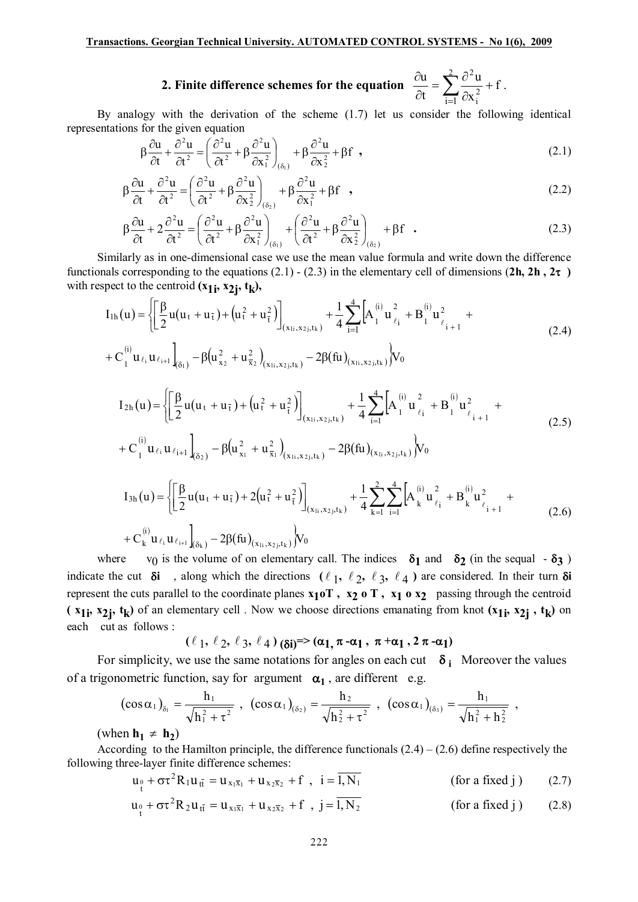2. Finite difference schemes for the equation  $\frac{\partial u}{\partial t} = \sum_{i=1}^{2} \frac{\partial^2 u}{\partial x_i^2} + f$ .

By analogy with the derivation of the scheme  $(1.7)$  let us consider the following identical representations for the given equation

$$
\beta \frac{\partial u}{\partial t} + \frac{\partial^2 u}{\partial t^2} = \left(\frac{\partial^2 u}{\partial t^2} + \beta \frac{\partial^2 u}{\partial x_1^2}\right)_{(\delta_1)} + \beta \frac{\partial^2 u}{\partial x_2^2} + \beta f,
$$
\n(2.1)

$$
\beta \frac{\partial u}{\partial t} + \frac{\partial^2 u}{\partial t^2} = \left(\frac{\partial^2 u}{\partial t^2} + \beta \frac{\partial^2 u}{\partial x_2^2}\right)_{(\delta_2)} + \beta \frac{\partial^2 u}{\partial x_1^2} + \beta f \quad , \tag{2.2}
$$

$$
\beta \frac{\partial u}{\partial t} + 2 \frac{\partial^2 u}{\partial t^2} = \left( \frac{\partial^2 u}{\partial t^2} + \beta \frac{\partial^2 u}{\partial x_1^2} \right)_{(\delta_1)} + \left( \frac{\partial^2 u}{\partial t^2} + \beta \frac{\partial^2 u}{\partial x_2^2} \right)_{(\delta_2)} + \beta f \quad . \tag{2.3}
$$

Similarly as in one-dimensional case we use the mean value formula and write down the difference functionals corresponding to the equations (2.1) - (2.3) in the elementary cell of dimensions (2h, 2h,  $2\tau$ ) with respect to the centroid  $(x_{1i}, x_{2i}, t_k)$ ,

$$
I_{1h}(u) = \left\{ \left[ \frac{\beta}{2} u(u_t + u_{\bar{t}}) + (u_t^2 + u_{\bar{t}}^2) \right]_{(x_{1i}, x_{2j}, t_k)} + \frac{1}{4} \sum_{i=1}^4 \left[ A_1^{(i)} u_{\ell_i}^2 + B_1^{(i)} u_{\ell_{i+1}}^2 + C_1^{(i)} u_{\ell_i+1} u_{\ell_{i+1}} \right]_{(2.4)}
$$
  
+  $C_1^{(i)} u_{\ell_i} u_{\ell_{i+1}} \Big|_{(\delta_1)} - \beta (u_{x_2}^2 + u_{\bar{x}_2}^2)_{(x_{1i}, x_{2j}, t_k)} - 2\beta (fu)_{(x_{1i}, x_{2j}, t_k)} \right\} V_0$  (2.4)

$$
I_{2h}(u) = \left\{ \left[ \frac{\beta}{2} u(u_t + u_{\tilde{t}}) + (u_{\tilde{t}}^2 + u_{\tilde{t}}^2) \right]_{(x_{1i}, x_{2j}, t_k)} + \frac{1}{4} \sum_{i=1}^4 \left[ A_1^{(i)} u_{\ell_i}^2 + B_1^{(i)} u_{\ell_i}^2 + B_1^{(i)} u_{\ell_{i+1}}^2 + C_1^{(i)} u_{\ell_i} u_{\ell_{i+1}} \right]_{(\delta_2)} - \beta (u_{x_1}^2 + u_{\tilde{x}_1}^2)_{(x_{1i}, x_{2j}, t_k)} - 2\beta (fu)_{(x_{1i}, x_{2j}, t_k)} \right\} V_0
$$
\n
$$
I_{3h}(u) = \left\{ \left[ \frac{\beta}{2} u(u_t + u_{\tilde{t}}) + 2(u_{\tilde{t}}^2 + u_{\tilde{t}}^2) \right]_{(x_{1i}, x_{2j}, t_k)} + \frac{1}{4} \sum_{k=1}^2 \sum_{i=1}^4 \left[ A_k^{(i)} u_{\ell_i}^2 + B_k^{(i)} u_{\ell_i}^2 + B_k^{(i)} u_{\ell_{i+1}}^2 + C_k^{(i)} u_{\ell_i} u_{\ell_{i+1}} \right]_{(\delta_k)} - 2\beta (fu)_{(x_{1i}, x_{2j}, t_k)} \right\} V_0
$$
\n(2.6)

 $v_0$  is the volume of on elementary call. The indices  $\delta_1$  and  $\delta_2$  (in the sequal -  $\delta_3$ ) where indicate the cut  $\delta i$ , along which the directions ( $\ell_1$ ,  $\ell_2$ ,  $\ell_3$ ,  $\ell_4$ ) are considered. In their turn  $\delta i$ represent the cuts parallel to the coordinate planes  $x_1 \circ T$ ,  $x_2 \circ T$ ,  $x_1 \circ x_2$  passing through the centroid ( $x_{1i}$ ,  $x_{2i}$ ,  $t_k$ ) of an elementary cell. Now we choose directions emanating from knot  $(x_{1i}, x_{2i}, t_k)$  on each cut as follows:

$$
(\ell_1, \ell_2, \ell_3, \ell_4)_{(\delta i)^{=}} (\alpha_1, \pi - \alpha_1, \pi + \alpha_1, 2 \pi - \alpha_1)
$$

For simplicity, we use the same notations for angles on each cut  $\delta_i$ . Moreover the values of a trigonometric function, say for argument  $\alpha_1$ , are different e.g.

$$
(\cos \alpha_1)_{\delta_1} = \frac{h_1}{\sqrt{h_1^2 + \tau^2}} , \quad (\cos \alpha_1)_{(\delta_2)} = \frac{h_2}{\sqrt{h_2^2 + \tau^2}} , \quad (\cos \alpha_1)_{(\delta_3)} = \frac{h_1}{\sqrt{h_1^2 + h_2^2}} ,
$$

(when  $h_1 \neq h_2$ )

According to the Hamilton principle, the difference functionals  $(2.4) - (2.6)$  define respectively the following three-layer finite difference schemes:

$$
u_0 + \sigma \tau^2 R_1 u_{t\bar{t}} = u_{x_1 \bar{x}_1} + u_{x_2 \bar{x}_2} + f , i = 1, N_1
$$
 (for a fixed j) (2.7)

$$
u_0 + \sigma \tau^2 R_2 u_{t\bar{t}} = u_{x_1\bar{x}_1} + u_{x_2\bar{x}_2} + f , j = \overline{1, N_2}
$$
 (for a fixed j) (2.8)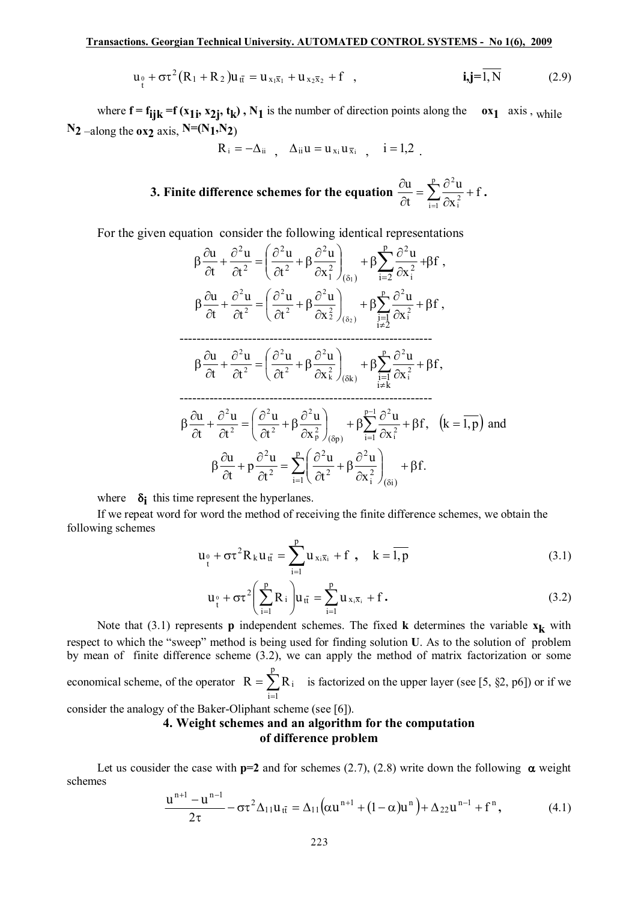$$
u_1^0 + \sigma \tau^2 (R_1 + R_2) u_{t\bar{t}} = u_{x_1 \bar{x}_1} + u_{x_2 \bar{x}_2} + f \quad , \qquad i, j = \bar{l}, N \qquad (2.9)
$$

where  $f = f_{ijk} = f(x_1; x_2; t_k)$ ,  $N_1$  is the number of direction points along the  $\alpha x_1$  axis, while  $N_2$  –along the **ox<sub>2</sub>** axis,  $N=(N_1,N_2)$ 

 $R_i = -\Delta_{ii}$ ,  $\Delta_{ii} u = u_{x_i} u_{\overline{x}_i}$ ,  $i = 1,2$ .

**3. Finite difference schemes for the equation**  $\frac{\partial u}{\partial t} = \sum_{i=1}^{n} \frac{\partial^2 u}{\partial x_i^2} +$  $\partial$  $=\sum_{n=1}^{p}\frac{\partial}{\partial n}$  $\partial$  $\partial u$   $\frac{p}{\sqrt{2}}$  $\sum_{i=1}^{\infty} \partial x_i^2$ 2 f x u t  $\frac{u}{v} = \sum_{n=1}^{p} \frac{\partial^2 u}{\partial x^2} + f$ .

For the given equation consider the following identical representations

$$
\beta \frac{\partial u}{\partial t} + \frac{\partial^2 u}{\partial t^2} = \left(\frac{\partial^2 u}{\partial t^2} + \beta \frac{\partial^2 u}{\partial x_1^2}\right)_{(\delta_1)} + \beta \sum_{i=2}^p \frac{\partial^2 u}{\partial x_i^2} + \beta f,
$$
\n
$$
\beta \frac{\partial u}{\partial t} + \frac{\partial^2 u}{\partial t^2} = \left(\frac{\partial^2 u}{\partial t^2} + \beta \frac{\partial^2 u}{\partial x_2^2}\right)_{(\delta_2)} + \beta \sum_{\substack{i=1 \\ i \neq 2}}^p \frac{\partial^2 u}{\partial x_i^2} + \beta f,
$$
\n
$$
\dots
$$
\n
$$
\beta \frac{\partial u}{\partial t} + \frac{\partial^2 u}{\partial t^2} = \left(\frac{\partial^2 u}{\partial t^2} + \beta \frac{\partial^2 u}{\partial x_1^2}\right)_{(\delta k)} + \beta \sum_{\substack{i=1 \\ i \neq k}}^p \frac{\partial^2 u}{\partial x_i^2} + \beta f,
$$
\n
$$
\dots
$$
\n
$$
\beta \frac{\partial u}{\partial t} + \frac{\partial^2 u}{\partial t^2} = \left(\frac{\partial^2 u}{\partial t^2} + \beta \frac{\partial^2 u}{\partial x_1^2}\right)_{(\delta p)} + \beta \sum_{i=1}^{p-1} \frac{\partial^2 u}{\partial x_i^2} + \beta f, \quad (k = \overline{1, p}) \text{ and}
$$
\n
$$
\beta \frac{\partial u}{\partial t} + p \frac{\partial^2 u}{\partial t^2} = \sum_{i=1}^p \left(\frac{\partial^2 u}{\partial t^2} + \beta \frac{\partial^2 u}{\partial x_i^2}\right)_{(\delta i)} + \beta f.
$$

where  $\delta$ **i** this time represent the hyperlanes.

If we repeat word for word the method of receiving the finite difference schemes, we obtain the following schemes

$$
u_{\theta} + \sigma \tau^2 R_k u_{\bar{t}} = \sum_{i=1}^p u_{x_i \bar{x}_i} + f , \quad k = \overline{1, p}
$$
 (3.1)

$$
u_{t}^{0} + \sigma \tau^{2} \left( \sum_{i=1}^{p} R_{i} \right) u_{t\bar{t}} = \sum_{i=1}^{p} u_{x_{i}\bar{x}_{i}} + f.
$$
 (3.2)

Note that (3.1) represents **p** independent schemes. The fixed **k** determines the variable  $\mathbf{x}_k$  with respect to which the "sweep" method is being used for finding solution **U**. As to the solution of problem by mean of finite difference scheme (3.2), we can apply the method of matrix factorization or some economical scheme, of the operator  $R = \sum_{i=1}^{n}$ p  $i = 1$  $R = \sum R_i$  is factorized on the upper layer (see [5, §2, p6]) or if we

consider the analogy of the Baker-Oliphant scheme (see [6]).

# **4. Weight schemes and an algorithm for the computation of difference problem**

Let us cousider the case with  $p=2$  and for schemes (2.7), (2.8) write down the following  $\alpha$  weight schemes

$$
\frac{u^{n+1} - u^{n-1}}{2\tau} - \sigma \tau^2 \Delta_{11} u_{t\bar{t}} = \Delta_{11} \left( \alpha u^{n+1} + (1 - \alpha) u^n \right) + \Delta_{22} u^{n-1} + f^n, \tag{4.1}
$$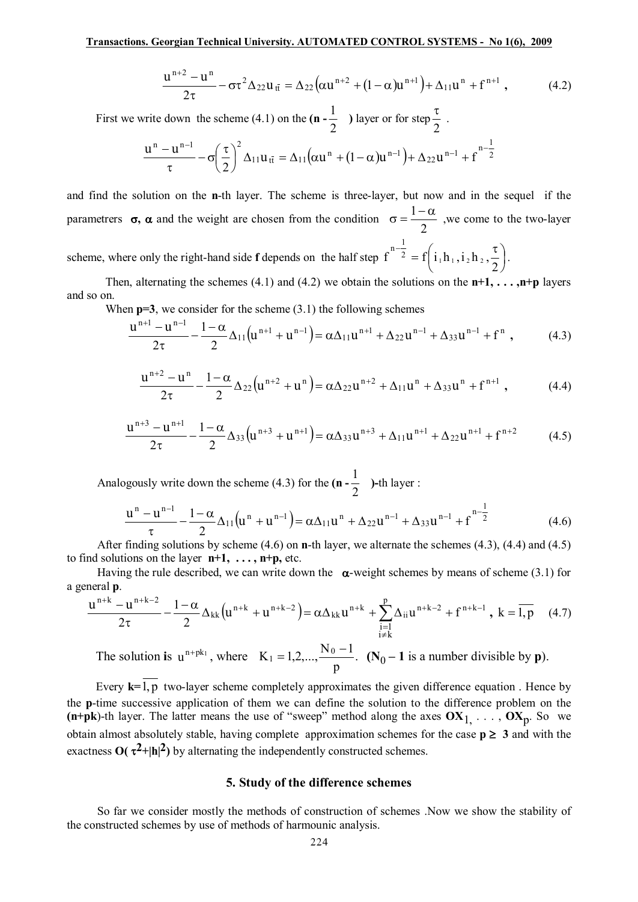$$
\frac{u^{n+2} - u^n}{2\tau} - \sigma \tau^2 \Delta_{22} u_{\bar{t}} = \Delta_{22} \left( \alpha u^{n+2} + (1 - \alpha) u^{n+1} \right) + \Delta_{11} u^n + f^{n+1} , \qquad (4.2)
$$

First we write down the scheme (4.1) on the **(n -** 2  $\frac{1}{2}$  ) layer or for step 2  $\frac{\tau}{\tau}$ .

$$
\frac{u^n - u^{n-1}}{\tau} - \sigma \left(\frac{\tau}{2}\right)^2 \Delta_{11} u_{t\bar t} = \Delta_{11} \big( \alpha u^n + (1-\alpha) u^{n-1} \big) + \Delta_{22} u^{n-1} + f^{n-\tfrac{1}{2}}
$$

and find the solution on the **n**-th layer. The scheme is three-layer, but now and in the sequel if the parametrers  $\sigma$ ,  $\alpha$  and the weight are chosen from the condition 2  $\sigma = \frac{1-\alpha}{\sigma}$ , we come to the two-layer scheme, where only the right-hand side **f** depends on the half step  $f^{-2} = f(i_1h_1, i_2h_2, \frac{1}{2})$  $\left(i_1h_1, i_2h_2, \frac{\tau}{2}\right)$  $-\frac{1}{2} = f\left(i_1h_1, i_2h_2, \frac{\tau}{2}\right)$ 2  $f^{-2} = f | i_1 h_1, i_2 h_2,$  $n^{-1/2} = f\left(i_1h_1, i_2h_2, \frac{\tau}{2}\right).$ 

Then, alternating the schemes (4.1) and (4.2) we obtain the solutions on the  $n+1$ ,  $\dots$ ,  $n+p$  layers and so on.

When  $p=3$ , we consider for the scheme (3.1) the following schemes

$$
\frac{u^{n+1} - u^{n-1}}{2\tau} - \frac{1 - \alpha}{2} \Delta_{11} (u^{n+1} + u^{n-1}) = \alpha \Delta_{11} u^{n+1} + \Delta_{22} u^{n-1} + \Delta_{33} u^{n-1} + f^n , \qquad (4.3)
$$

$$
\frac{u^{n+2} - u^n}{2\tau} - \frac{1 - \alpha}{2} \Delta_{22} (u^{n+2} + u^n) = \alpha \Delta_{22} u^{n+2} + \Delta_{11} u^n + \Delta_{33} u^n + f^{n+1} , \qquad (4.4)
$$

$$
\frac{u^{n+3} - u^{n+1}}{2\tau} - \frac{1 - \alpha}{2} \Delta_{33} (u^{n+3} + u^{n+1}) = \alpha \Delta_{33} u^{n+3} + \Delta_{11} u^{n+1} + \Delta_{22} u^{n+1} + f^{n+2}
$$
(4.5)

Analogously write down the scheme (4.3) for the **(n -** 2  $\frac{1}{2}$  )-th layer :

$$
\frac{u^{n}-u^{n-1}}{\tau} - \frac{1-\alpha}{2} \Delta_{11}(u^{n}+u^{n-1}) = \alpha \Delta_{11} u^{n} + \Delta_{22} u^{n-1} + \Delta_{33} u^{n-1} + f^{n-\frac{1}{2}} \tag{4.6}
$$

After finding solutions by scheme (4.6) on **n**-th layer, we alternate the schemes (4.3), (4.4) and (4.5) to find solutions on the layer  $n+1$ ,  $\dots$ ,  $n+p$ , etc.

Having the rule described, we can write down the  $\alpha$ -weight schemes by means of scheme (3.1) for a general **p**.

$$
\frac{u^{n+k} - u^{n+k-2}}{2\tau} - \frac{1 - \alpha}{2} \Delta_{kk} \left( u^{n+k} + u^{n+k-2} \right) = \alpha \Delta_{kk} u^{n+k} + \sum_{\substack{i=1 \ i \neq k}}^p \Delta_{ii} u^{n+k-2} + f^{n+k-1}, \ k = \overline{1, p} \tag{4.7}
$$

The solution is  $u^{n+pk_1}$ , where  $K_1 = 1, 2, ..., \frac{N_0 - 1}{N_0}$ . p  $K_1 = 1, 2, ..., \frac{N_0 - 1}{N_0}$  $= 1, 2, \ldots, \frac{N_0 - 1}{N_0 - 1}$ . (N<sub>0</sub> – 1 is a number divisible by **p**).

Every **k=**1, p two-layer scheme completely approximates the given difference equation . Hence by the **p**-time successive application of them we can define the solution to the difference problem on the  $(n+pk)$ -th layer. The latter means the use of "sweep" method along the axes  $OX_1, \ldots, OX_p$ . So we obtain almost absolutely stable, having complete approximation schemes for the case  $p \ge 3$  and with the exactness  $O(\tau^2 + |h|^2)$  by alternating the independently constructed schemes.

## **5. Study of the difference schemes**

So far we consider mostly the methods of construction of schemes .Now we show the stability of the constructed schemes by use of methods of harmounic analysis.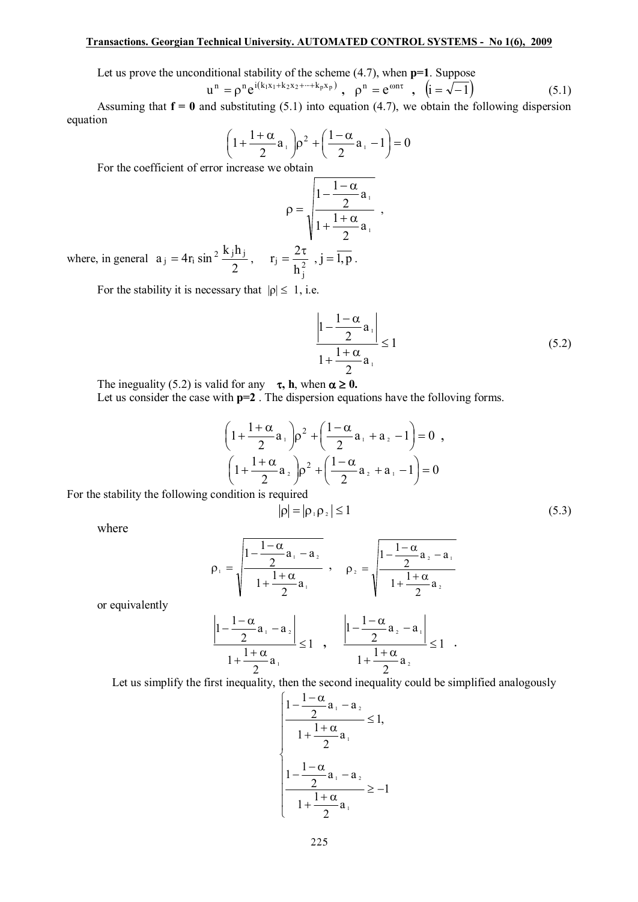### **Transactions. Georgian Technical University. AUTOMATED CONTROL SYSTEMS - No 1(6), 2009**

Let us prove the unconditional stability of the scheme (4.7), when **p=1**. Suppose

$$
u^{n} = \rho^{n} e^{i(k_{1}x_{1} + k_{2}x_{2} + \dots + k_{p}x_{p})}, \quad \rho^{n} = e^{\omega n\tau}, \quad (i = \sqrt{-1})
$$
 (5.1)

Assuming that  $f = 0$  and substituting (5.1) into equation (4.7), we obtain the following dispersion equation

$$
\left(1+\frac{1+\alpha}{2}a_+\right)\rho^2+\left(\frac{1-\alpha}{2}a_+-1\right)=0
$$

For the coefficient of error increase we obtain

$$
\rho = \sqrt{\frac{1 - \frac{1 - \alpha}{2}a_1}{1 + \frac{1 + \alpha}{2}a_1}} ,
$$
  

$$
= \frac{2\tau}{1 - \frac{1}{2}a_1}
$$

where, in general 2  $a_{j} = 4r_{i} \sin^{2} \frac{k_{j}h_{j}}{2}, \quad r_{j} = \frac{2\pi}{h^{2}}$ j  $j = -\frac{1}{h}$  $r_i = \frac{2\tau}{l}$ ,  $j = \overline{1, p}$ .

For the stability it is necessary that  $|\rho| \leq 1$ , i.e.

$$
\left|\frac{1-\frac{1-\alpha}{2}a_1}{1+\frac{1+\alpha}{2}a_1}\right| \le 1\tag{5.2}
$$

The ineguality (5.2) is valid for any  $\tau$ , **h**, when  $\alpha \ge 0$ .

Let us consider the case with **p=2** . The dispersion equations have the folloving forms.

$$
\left(1+\frac{1+\alpha}{2}a_1\right)\rho^2 + \left(\frac{1-\alpha}{2}a_1 + a_2 - 1\right) = 0,
$$
  

$$
\left(1+\frac{1+\alpha}{2}a_2\right)\rho^2 + \left(\frac{1-\alpha}{2}a_2 + a_1 - 1\right) = 0
$$

For the stability the following condition is required

$$
|\rho| = |\rho_1 \rho_2| \le 1 \tag{5.3}
$$

where

$$
\rho_1 = \sqrt{\frac{1 - \frac{1 - \alpha}{2}a_1 - a_2}{1 + \frac{1 + \alpha}{2}a_1}}, \quad \rho_2 = \sqrt{\frac{1 - \frac{1 - \alpha}{2}a_2 - a_1}{1 + \frac{1 + \alpha}{2}a_2}}
$$

or equivalently

$$
\frac{\left|1-\frac{1-\alpha}{2}a_{1}-a_{2}\right|}{1+\frac{1+\alpha}{2}a_{1}} \leq 1 \quad , \quad \frac{\left|1-\frac{1-\alpha}{2}a_{2}-a_{1}\right|}{1+\frac{1+\alpha}{2}a_{2}} \leq 1 \quad .
$$

Let us simplify the first inequality, then the second inequality could be simplified analogously

$$
\left\{\n\begin{aligned}\n1 - \frac{1 - \alpha}{2} a_1 - a_2 \\
1 + \frac{1 + \alpha}{2} a_1 \\
1 - \frac{1 - \alpha}{2} a_1 - a_2 \\
1 + \frac{1 + \alpha}{2} a_1\n\end{aligned}\n\right\} \ge -1
$$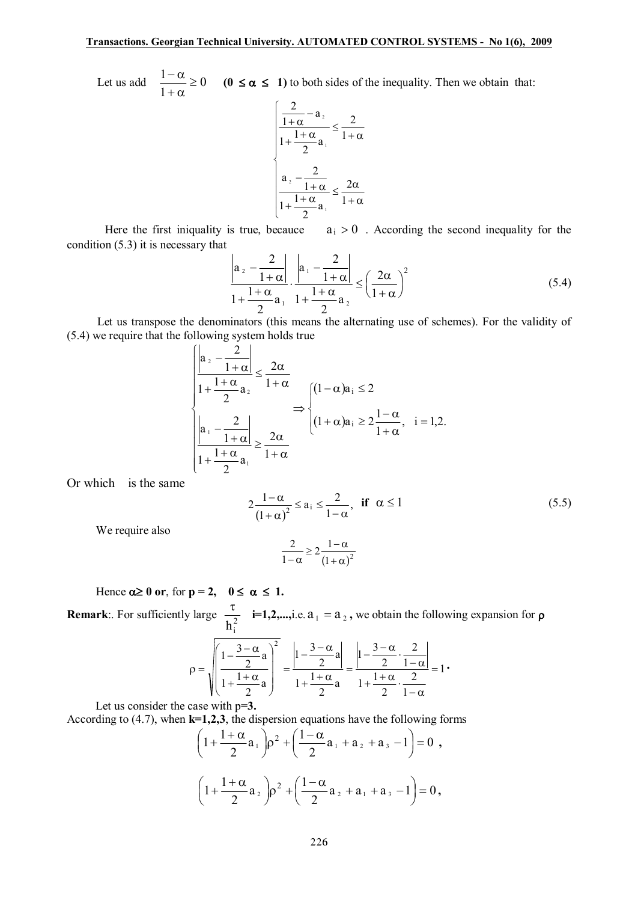Let us add  $\frac{1}{2}$   $\infty$   $\geq$  0 1  $\frac{1-\alpha}{\alpha}$  $+\alpha$  $-\frac{\alpha}{\alpha} \ge 0$  (0  $\le \alpha \le 1$ ) to both sides of the inequality. Then we obtain that:

$$
\frac{\left|\frac{2}{1+\alpha}-a_{2}\right|}{1+\frac{1+\alpha}{2}a_{1}} \leq \frac{2}{1+\alpha}
$$

$$
a_{2}-\frac{2}{1+\alpha}a_{2} \leq \frac{2\alpha}{1+\frac{1+\alpha}{2}a_{1}} \leq \frac{2\alpha}{1+\alpha}
$$

Here the first iniquality is true, becauce  $a_i > 0$ . According the second inequality for the condition (5.3) it is necessary that

$$
\frac{\left|a_{2}-\frac{2}{1+\alpha}\right|}{1+\frac{1+\alpha}{2}a_{1}}\cdot\frac{\left|a_{1}-\frac{2}{1+\alpha}\right|}{1+\frac{1+\alpha}{2}a_{2}} \leq \left(\frac{2\alpha}{1+\alpha}\right)^{2}
$$
\n(5.4)

Let us transpose the denominators (this means the alternating use of schemes). For the validity of (5.4) we require that the following system holds true  $\epsilon$ <sup>1</sup>  $\frac{3}{2}$ 

$$
\frac{\left|\frac{a_{2}-\frac{2}{1+\alpha}}{1+\frac{1+\alpha}{2}a_{2}}\right|}{\left|\frac{1+\frac{1+\alpha}{2}a_{2}}{1+\alpha}\right|}\n\Rightarrow\n\begin{cases}\n(1-\alpha)a_{i}\leq 2 \\
(1+\alpha)a_{i}\geq 2\frac{1-\alpha}{1+\alpha}, \quad i=1,2\n\end{cases}
$$
\n
$$
\frac{\left|a_{1}-\frac{2}{1+\alpha}\right|}{1+\frac{1+\alpha}{2}a_{1}}\geq \frac{2\alpha}{1+\alpha}
$$

Or which is the same

$$
2\frac{1-\alpha}{(1+\alpha)^2} \le a_i \le \frac{2}{1-\alpha}, \quad \text{if} \quad \alpha \le 1
$$
 (5.5)

We require also

$$
\frac{2}{1-\alpha} \geq 2\frac{1-\alpha}{\left(1+\alpha\right)^2}
$$

Hence  $\alpha \ge 0$  or, for  $p = 2$ ,  $0 \le \alpha \le 1$ .

**Remark**:. For sufficiently large  $\frac{1}{h^2}$  $h_i^2$  $\frac{\tau}{2}$  **i**=1,2,...,i.e.  $a_1 = a_2$ , we obtain the following expansion for  $\rho$ 

$$
\rho = \sqrt{\left(\frac{1-\frac{3-\alpha}{2}a}{1+\frac{1+\alpha}{2}a}\right)^2} = \frac{\left|1-\frac{3-\alpha}{2}a\right|}{1+\frac{1+\alpha}{2}a} = \frac{\left|1-\frac{3-\alpha}{2}\cdot\frac{2}{1-\alpha}\right|}{1+\frac{1+\alpha}{2}\cdot\frac{2}{1-\alpha}} = 1\cdot
$$

Let us consider the case with p**=3.**

According to (4.7), when **k=1,2,3**, the dispersion equations have the following forms

$$
\left(1+\frac{1+\alpha}{2}a_1\right)\rho^2 + \left(\frac{1-\alpha}{2}a_1 + a_2 + a_3 - 1\right) = 0,
$$
  

$$
\left(1+\frac{1+\alpha}{2}a_2\right)\rho^2 + \left(\frac{1-\alpha}{2}a_2 + a_1 + a_3 - 1\right) = 0,
$$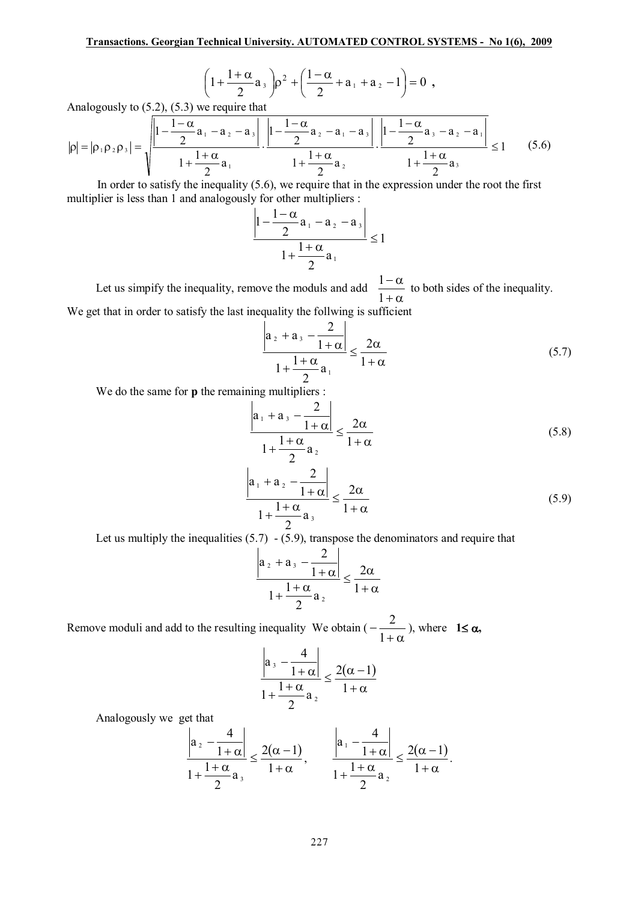$$
\left(1+\frac{1+\alpha}{2}a_3\right)\rho^2+\left(\frac{1-\alpha}{2}+a_1+a_2-1\right)=0,
$$

Analogously to (5.2), (5.3) we require that

$$
|\rho| = |\rho_1 \rho_2 \rho_3| = \sqrt{\frac{\left|1 - \frac{1 - \alpha_2}{2}a_1 - a_2 - a_3\right|}{1 + \frac{1 + \alpha_2}{2}a_1} \cdot \frac{\left|1 - \frac{1 - \alpha_2}{2}a_2 - a_1 - a_3\right|}{1 + \frac{1 + \alpha_2}{2}a_2} \cdot \frac{\left|1 - \frac{1 - \alpha_2}{2}a_3 - a_2 - a_1\right|}{1 + \frac{1 + \alpha_2}{2}a_3}} \le 1
$$
 (5.6)

In order to satisfy the inequality (5.6), we require that in the expression under the root the first multiplier is less than 1 and analogously for other multipliers :

$$
\left|\frac{1-\alpha}{2}a_1 - a_2 - a_3\right|}{1 + \frac{1+\alpha}{2}a_1} \le 1
$$

Let us simpify the inequality, remove the moduls and add  $+\alpha$  $-\alpha$ 1  $\frac{1-\alpha}{1-\alpha}$  to both sides of the inequality. We get that in order to satisfy the last inequality the follwing is sufficient

$$
\frac{\left|a_{2}+a_{3}-\frac{2}{1+\alpha}\right|}{1+\frac{1+\alpha}{2}a_{1}} \leq \frac{2\alpha}{1+\alpha}
$$
\n(5.7)

We do the same for **p** the remaining multipliers :

$$
\left| \frac{a_1 + a_3 - \frac{2}{1 + \alpha}}{1 + \frac{1 + \alpha}{2} a_2} \right| \le \frac{2\alpha}{1 + \alpha}
$$
 (5.8)

$$
\frac{\left|a_1 + a_2 - \frac{2}{1 + \alpha}\right|}{1 + \frac{1 + \alpha}{2} a_3} \le \frac{2\alpha}{1 + \alpha}
$$
\n(5.9)

Let us multiply the inequalities  $(5.7) - (5.9)$ , transpose the denominators and require that

$$
\frac{a_2 + a_3 - \frac{2}{1 + \alpha}}{1 + \frac{1 + \alpha}{2} a_2} \le \frac{2\alpha}{1 + \alpha}
$$

Remove moduli and add to the resulting inequality We obtain (  $+\alpha$ - 1  $\frac{2}{\pi}$ , where **1** $\leq \alpha$ ,

$$
\frac{\left|a_{3} - \frac{4}{1+\alpha}\right|}{1 + \frac{1+\alpha}{2}a_{2}} \leq \frac{2(\alpha - 1)}{1+\alpha}
$$

Analogously we get that

$$
\frac{\left|a_{2} - \frac{4}{1+\alpha}\right|}{1 + \frac{1+\alpha}{2}a_{3}} \leq \frac{2(\alpha - 1)}{1+\alpha}, \qquad \frac{\left|a_{1} - \frac{4}{1+\alpha}\right|}{1 + \frac{1+\alpha}{2}a_{2}} \leq \frac{2(\alpha - 1)}{1+\alpha}.
$$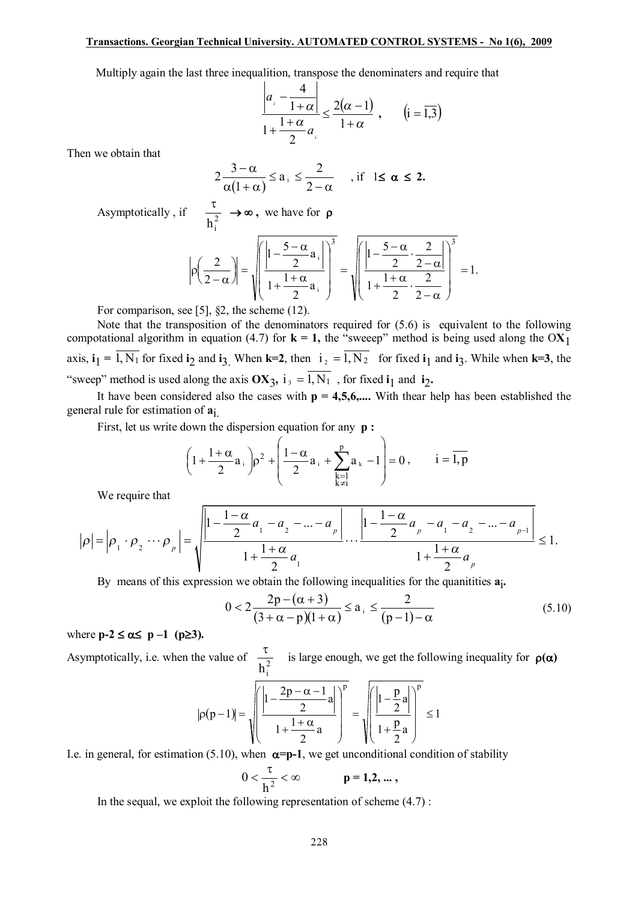#### **Transactions. Georgian Technical University. AUTOMATED CONTROL SYSTEMS - No 1(6), 2009**

Multiply again the last three inequalition, transpose the denominaters and require that

$$
\frac{\left|a_{i} - \frac{4}{1+\alpha}\right|}{1 + \frac{1+\alpha}{2}a_{i}} \leq \frac{2(\alpha - 1)}{1+\alpha}, \qquad (i = \overline{1,3})
$$

Then we obtain that

$$
2\frac{3-\alpha}{\alpha(1+\alpha)} \le a_{i} \le \frac{2}{2-\alpha} \quad , \text{if } 1 \le \alpha \le 2.
$$

Asymptotically, if  $\frac{c}{h^2}$  $h_i^2$  $\frac{\tau}{2} \rightarrow \infty$ , we have for **p** 

$$
\left|\rho\left(\frac{2}{2-\alpha}\right)\right| = \sqrt{\left(\frac{\left|1-\frac{5-\alpha}{2}a_i\right|}{1+\frac{1+\alpha}{2}a_i}\right)^3} = \sqrt{\left(\frac{\left|1-\frac{5-\alpha}{2}\cdot\frac{2}{2-\alpha}\right|}{1+\frac{1+\alpha}{2}\cdot\frac{2}{2-\alpha}}\right)^3} = 1.
$$

For comparison, see [5], \$2, the scheme (12).

Note that the transposition of the denominators required for (5.6) is equivalent to the following compotational algorithm in equation (4.7) for  $\mathbf{k} = 1$ , the "sweeep" method is being used along the OX<sub>1</sub> axis,  $\mathbf{i}_1 = 1$ ,  $N_1$  for fixed  $\mathbf{i}_2$  and  $\mathbf{i}_3$ . When  $\mathbf{k} = 2$ , then  $\mathbf{i}_2 = 1$ ,  $N_2$  for fixed  $\mathbf{i}_1$  and  $\mathbf{i}_3$ . While when  $\mathbf{k} = 3$ , the "sweep" method is used along the axis  $OX_3$ ,  $i_3 = 1$ ,  $N_1$ , for fixed  $i_1$  and  $i_2$ .

It have been considered also the cases with  $p = 4,5,6,...$  With thear help has been established the general rule for estimation of **a**i.

First, let us write down the dispersion equation for any **p :**

$$
\left(1 + \frac{1+\alpha}{2}a_i\right)\rho^2 + \left(\frac{1-\alpha}{2}a_i + \sum_{\substack{k=1\\k \neq i}}^p a_k - 1\right) = 0, \qquad i = \overline{1, p}
$$

We require that

$$
|\rho| = \left|\rho_1 \cdot \rho_2 \cdots \rho_p\right| = \sqrt{\frac{\left|1 - \frac{1 - \alpha}{2}a_1 - a_2 - \dots - a_p\right|}{1 + \frac{1 + \alpha}{2}a_1} \cdots \frac{\left|1 - \frac{1 - \alpha}{2}a_p - a_1 - a_2 - \dots - a_{p-1}\right|}{1 + \frac{1 + \alpha}{2}a_p}} \le 1.
$$

By means of this expression we obtain the following inequalities for the quanitities  $a_i$ .

$$
0 < 2\frac{2p - (\alpha + 3)}{(3 + \alpha - p)(1 + \alpha)} \le a_{i} \le \frac{2}{(p - 1) - \alpha}
$$
\n(5.10)

where  $p-2 \le \alpha \le p-1$  ( $p \ge 3$ ).

Asymptotically, i.e. when the value of  $\frac{c}{h^2}$  $h_i^2$  $\frac{\tau}{2}$  is large enough, we get the following inequality for  $\rho(\alpha)$ 

$$
|\rho(p-1)| = \sqrt{\left(\frac{\left|1-\frac{2p-\alpha-1}{2}a\right|}{1+\frac{1+\alpha}{2}a}\right)^p} = \sqrt{\left(\frac{\left|1-\frac{p}{2}a\right|}{1+\frac{p}{2}a}\right)^p} \le 1
$$

I.e. in general, for estimation (5.10), when  $\alpha = p-1$ , we get unconditional condition of stability

$$
0<\frac{\tau}{h^2}<\infty \qquad \qquad p=1,2,...\ ,
$$

In the sequal, we exploit the following representation of scheme (4.7) :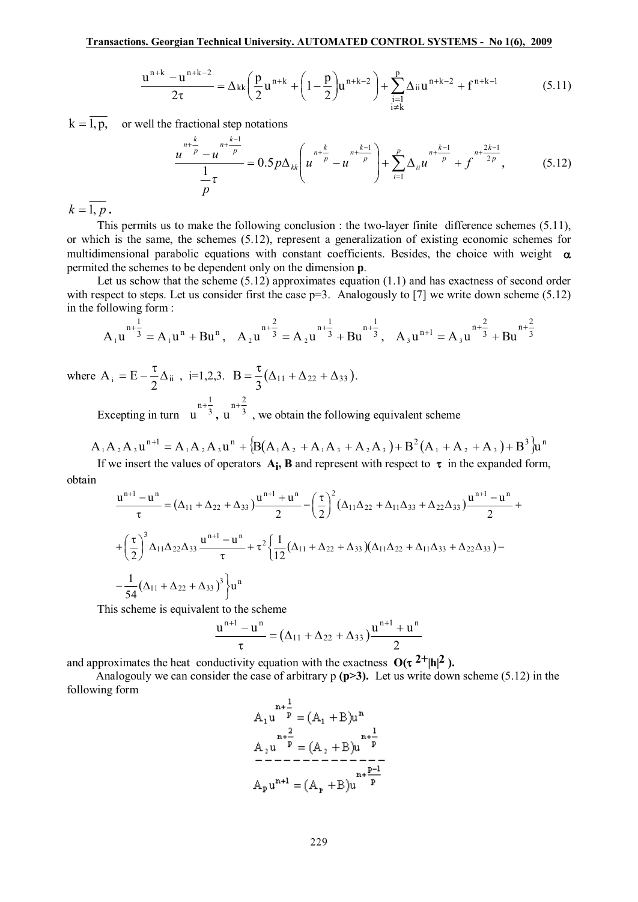$$
\frac{u^{n+k} - u^{n+k-2}}{2\tau} = \Delta_{kk} \left( \frac{p}{2} u^{n+k} + \left( 1 - \frac{p}{2} \right) u^{n+k-2} \right) + \sum_{\substack{i=1 \ i \neq k}}^p \Delta_{ii} u^{n+k-2} + f^{n+k-1}
$$
(5.11)

 $k = \overline{1, p}$ , or well the fractional step notations

$$
\frac{u^{n+\frac{k}{p}}-u^{n+\frac{k-1}{p}}}{\frac{1}{p}\tau}=0.5p\Delta_{kk}\left(u^{n+\frac{k}{p}}-u^{n+\frac{k-1}{p}}\right)+\sum_{i=1}^{p}\Delta_{ii}u^{n+\frac{k-1}{p}}+f^{n+\frac{2k-1}{2p}},\qquad(5.12)
$$

 $k = \overline{1, p}$ .

This permits us to make the following conclusion : the two-layer finite difference schemes (5.11), or which is the same, the schemes (5.12), represent a generalization of existing economic schemes for multidimensional parabolic equations with constant coefficients. Besides, the choice with weight  $\alpha$ permited the schemes to be dependent only on the dimension **p**.

Let us schow that the scheme (5.12) approximates equation (1.1) and has exactness of second order with respect to steps. Let us consider first the case  $p=3$ . Analogously to [7] we write down scheme (5.12) in the following form :

$$
A_1u^{n+\frac{1}{3}} = A_1u^n + Bu^n, \quad A_2u^{n+\frac{2}{3}} = A_2u^{n+\frac{1}{3}} + Bu^{n+\frac{1}{3}}, \quad A_3u^{n+1} = A_3u^{n+\frac{2}{3}} + Bu^{n+\frac{2}{3}}
$$

where  $A_i = E - \frac{1}{2} \Delta_{ii}$ 2  $A_i = E - \frac{\tau}{2} \Delta_{ii}$ , i=1,2,3.  $B = \frac{\tau}{2} (\Delta_{11} + \Delta_{22} + \Delta_{33})$ 3  $B = \frac{\tau}{2} (\Delta_{11} + \Delta_{22} + \Delta_{33}).$ 

Excepting in turn  $u^{3}$  $\frac{n+\frac{1}{3}}{u}, \frac{n+\frac{2}{3}}{u}$  $u^{n+\frac{2}{3}}$ , we obtain the following equivalent scheme

$$
A_1A_2A_3u^{n+1} = A_1A_2A_3u^n + {B(A_1A_2 + A_1A_3 + A_2A_3) + B^2(A_1 + A_2 + A_3) + B^3}u^n
$$
  
If we insert the values of operators, **A**, **B** and represent with respect to **a**, in the sum of all form

If we insert the values of operators  $A_i$ , **B** and represent with respect to  $\tau$  in the expanded form, obtain

$$
\frac{u^{n+1} - u^n}{\tau} = (\Delta_{11} + \Delta_{22} + \Delta_{33}) \frac{u^{n+1} + u^n}{2} - \left(\frac{\tau}{2}\right)^2 (\Delta_{11}\Delta_{22} + \Delta_{11}\Delta_{33} + \Delta_{22}\Delta_{33}) \frac{u^{n+1} - u^n}{2} + \frac{\left(\frac{\tau}{2}\right)^3 \Delta_{11}\Delta_{22}\Delta_{33} \frac{u^{n+1} - u^n}{\tau} + \tau^2 \left\{\frac{1}{12}(\Delta_{11} + \Delta_{22} + \Delta_{33})(\Delta_{11}\Delta_{22} + \Delta_{11}\Delta_{33} + \Delta_{22}\Delta_{33}) - \frac{1}{54}(\Delta_{11} + \Delta_{22} + \Delta_{33})^3\right\} u^n
$$

This scheme is equivalent to the scheme

$$
\frac{u^{n+1}-u^n}{\tau} = (\Delta_{11} + \Delta_{22} + \Delta_{33})\frac{u^{n+1}+u^n}{2}
$$

and approximates the heat conductivity equation with the exactness  $O(\tau^2 + |h|^2)$ .

Analogouly we can consider the case of arbitrary p **(p>3).** Let us write down scheme (5.12) in the following form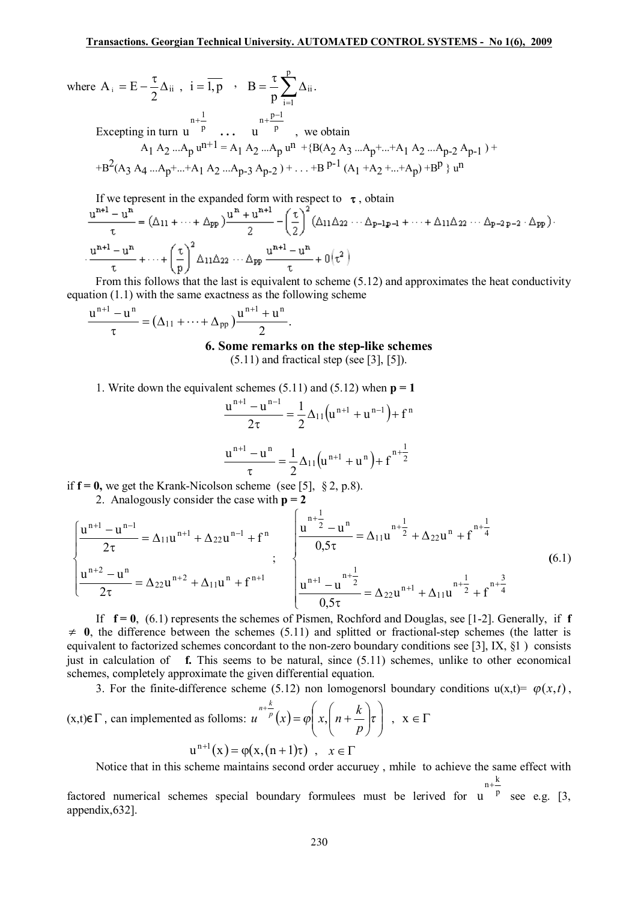where 
$$
A_i = E - \frac{\tau}{2} \Delta_{ii}
$$
,  $i = \overline{1, p}$ ,  $B = \frac{\tau}{p} \sum_{i=1}^{p} \Delta_{ii}$ .

Excepting in turn  $u^{p}$ u  **. . .**  p u  $+\frac{p-1}{p}$ , we obtain

$$
A_1 A_2 ... A_p u^{n+1} = A_1 A_2 ... A_p u^{n+1} + B(A_2 A_3 ... A_p + ... + A_1 A_2 ... A_{p-2} A_{p-1}) + B^2 (A_3 A_4 ... A_p + ... + A_1 A_2 ... A_{p-3} A_{p-2}) + ... + B^{p-1} (A_1 + A_2 + ... + A_p) + B^p \} u^n
$$

If we tepresent in the expanded form with respect to  $\tau$ , obtain  $\int_{0}^{\pi}$  ,  $\int_{0}^{\pi}$  ,  $\int_{0}^{\pi}$  ,  $\int_{0}^{\pi}$  ,  $\int_{0}^{\pi}$  ,  $\int_{0}^{\pi}$  ,  $\int_{0}^{\pi}$  ,  $\int_{0}^{\pi}$  ,  $\int_{0}^{\pi}$  ,  $\int_{0}^{\pi}$  ,  $\int_{0}^{\pi}$  ,

$$
\frac{u^{n+1} - u^n}{\tau} = (\Delta_{11} + \dots + \Delta_{pp}) \frac{u^n + u^{n+1}}{2} - \left(\frac{\tau}{2}\right)^{\tau} (\Delta_{11}\Delta_{22} + \Delta_{p-1} + \dots + \Delta_{11}\Delta_{22} + \Delta_{p-2} + \Delta_{pp}).
$$
  

$$
\frac{u^{n+1} - u^n}{\tau} + \dots + \left(\frac{\tau}{p}\right)^2 \Delta_{11}\Delta_{22} + \Delta_{pp} \frac{u^{n+1} - u^n}{\tau} + 0(\tau^2)
$$
  
From this follows that the last is equivalent to scheme (5.12) and an newimates the heat conductivity.

From this follows that the last is equivalent to scheme (5.12) and approximates the heat conductivity equation (1.1) with the same exactness as the following scheme

$$
\frac{u^{n+1}-u^n}{\tau} = (\Delta_{11} + \cdots + \Delta_{pp})\frac{u^{n+1}+u^n}{2}.
$$

**6. Some remarks on the step-like schemes** 

 $(5.11)$  and fractical step (see [3], [5]).

1. Write down the equivalent schemes  $(5.11)$  and  $(5.12)$  when  $p = 1$ 

$$
\frac{u^{n+1} - u^{n-1}}{2\tau} = \frac{1}{2} \Delta_{11} (u^{n+1} + u^{n-1}) + f^{n}
$$

$$
\frac{u^{n+1} - u^{n}}{\tau} = \frac{1}{2} \Delta_{11} (u^{n+1} + u^{n}) + f^{n+\frac{1}{2}}
$$

if  $f = 0$ , we get the Krank-Nicolson scheme (see [5], § 2, p.8).

2. Analogously consider the case with  $p = 2$ 

$$
\begin{cases}\n\frac{u^{n+1} - u^{n-1}}{2\tau} = \Delta_{11} u^{n+1} + \Delta_{22} u^{n-1} + f^n \\
\frac{u^{n+2} - u^n}{2\tau} = \Delta_{22} u^{n+2} + \Delta_{11} u^n + f^{n+1}\n\end{cases}
$$
\n
$$
\begin{cases}\n\frac{u^{n+1} - u^n}{2\tau} = \Delta_{11} u^{n+2} + \Delta_{22} u^n + f^{n+1} \\
\frac{u^{n+1} - u^{n+1}}{0.5\tau} = \Delta_{22} u^{n+1} + \Delta_{11} u^{n+1} + f^{n+1} \\
\frac{u^{n+1} - u^{n+1}}{0.5\tau} = \Delta_{22} u^{n+1} + \Delta_{11} u^{n+1} + f^{n+1}\n\end{cases}
$$
\n(6.1)

If  $f = 0$ , (6.1) represents the schemes of Pismen, Rochford and Douglas, see [1-2]. Generally, if  $f$  $\neq$  0, the difference between the schemes (5.11) and splitted or fractional-step schemes (the latter is equivalent to factorized schemes concordant to the non-zero boundary conditions see [3], IX,  $\S$ 1) consists just in calculation of **f.** This seems to be natural, since (5.11) schemes, unlike to other economical schemes, completely approximate the given differential equation.

3. For the finite-difference scheme (5.12) non lomogenorsl boundary conditions  $u(x,t) = \varphi(x,t)$ ,

 $(x,t) \in \Gamma$ , can implemented as folloms:  $u^{n+p}(x) = \varphi \left( x, \left( n + \frac{k}{p} \right) \tau \right)$ ø ö  $\overline{\phantom{a}}$  $\setminus$ æ ÷ ÷ ø ö  $\overline{\phantom{a}}$  $\setminus$  $+\frac{\kappa}{p}(x) = \varphi\left(x, \frac{\pi}{n}\right) +$  $\varphi$   $\left(x, \left(n + \frac{-}{p}\right)$  $u^{n+\frac{n}{p}}(x) = \varphi\left(x, \frac{1}{n} + \frac{k}{n}\right)$  $\int_{0}^{n+\frac{k}{p}} (x) = \varphi\left(x, \left(n+\frac{k}{r}\right) \tau\right)$ ,  $x \in \Gamma$  $u^{n+1}(x) = \varphi(x, (n+1)\tau)$ ,  $x \in \Gamma$ 

Notice that in this scheme maintains second order accuruey , mhile to achieve the same effect with

k +

factored numerical schemes special boundary formulees must be lerived for  $u^{\frac{n+\frac{1}{p}}{p}}$ u see e.g. [3, appendix,632].